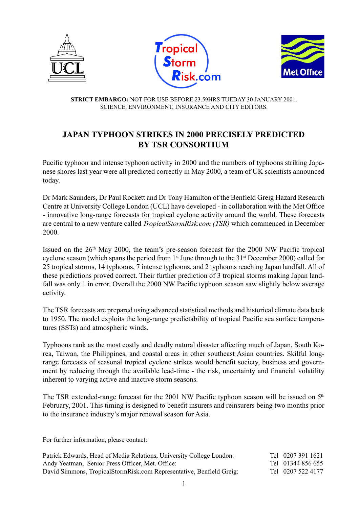





**STRICT EMBARGO:** NOT FOR USE BEFORE 23.59HRS TUEDAY 30 JANUARY 2001. SCIENCE, ENVIRONMENT, INSURANCE AND CITY EDITORS.

## **JAPAN TYPHOON STRIKES IN 2000 PRECISELY PREDICTED BY TSR CONSORTIUM**

Pacific typhoon and intense typhoon activity in 2000 and the numbers of typhoons striking Japanese shores last year were all predicted correctly in May 2000, a team of UK scientists announced today.

Dr Mark Saunders, Dr Paul Rockett and Dr Tony Hamilton of the Benfield Greig Hazard Research Centre at University College London (UCL) have developed - in collaboration with the Met Office - innovative long-range forecasts for tropical cyclone activity around the world. These forecasts are central to a new venture called *TropicalStormRisk.com (TSR)* which commenced in December 2000.

Issued on the 26th May 2000, the team's pre-season forecast for the 2000 NW Pacific tropical cyclone season (which spans the period from 1<sup>st</sup> June through to the 31<sup>st</sup> December 2000) called for 25 tropical storms, 14 typhoons, 7 intense typhoons, and 2 typhoons reaching Japan landfall. All of these predictions proved correct. Their further prediction of 3 tropical storms making Japan landfall was only 1 in error. Overall the 2000 NW Pacific typhoon season saw slightly below average activity.

The TSR forecasts are prepared using advanced statistical methods and historical climate data back to 1950. The model exploits the long-range predictability of tropical Pacific sea surface temperatures (SSTs) and atmospheric winds.

Typhoons rank as the most costly and deadly natural disaster affecting much of Japan, South Korea, Taiwan, the Philippines, and coastal areas in other southeast Asian countries. Skilful longrange forecasts of seasonal tropical cyclone strikes would benefit society, business and government by reducing through the available lead-time - the risk, uncertainty and financial volatility inherent to varying active and inactive storm seasons.

The TSR extended-range forecast for the 2001 NW Pacific typhoon season will be issued on 5<sup>th</sup> February, 2001. This timing is designed to benefit insurers and reinsurers being two months prior to the insurance industry's major renewal season for Asia.

For further information, please contact:

| Patrick Edwards, Head of Media Relations, University College London: | Tel 0207 391 1621 |
|----------------------------------------------------------------------|-------------------|
| Andy Yeatman, Senior Press Officer, Met. Office:                     | Tel 01344 856 655 |
| David Simmons, TropicalStormRisk.com Representative, Benfield Greig: | Tel 0207 522 4177 |